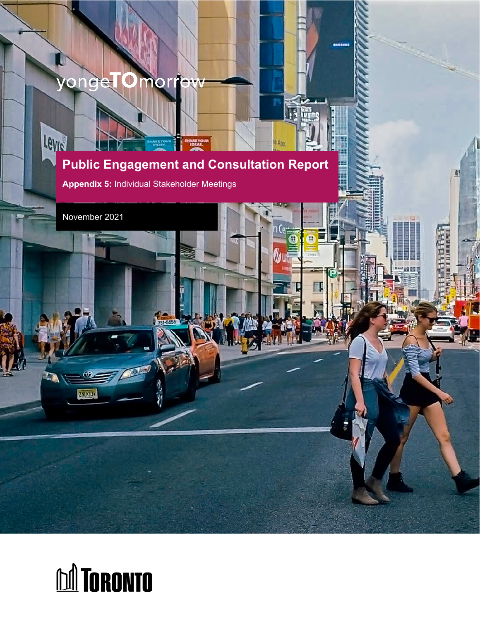## yongel O mor

Levie **Public Engagement and Consultation Report**

**Appendix 5:** Individual Stakeholder Meetings

November 2021

ZAUCEN

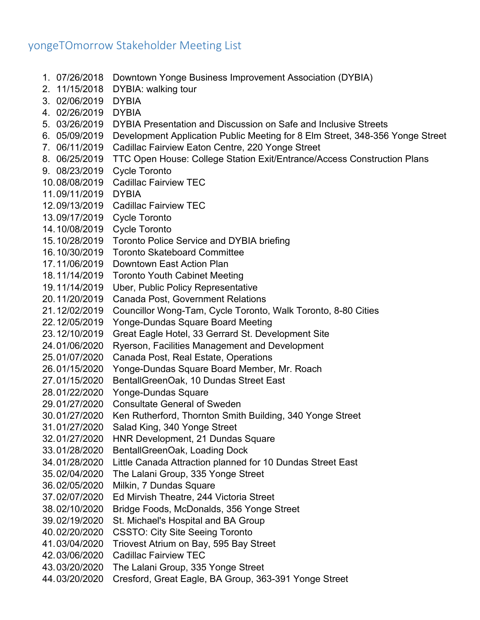## yongeTOmorrow Stakeholder Meeting List

- 1. 07/26/2018 Downtown Yonge Business Improvement Association (DYBIA)
- 2. 11/15/2018 DYBIA: walking tour
- 3. 02/06/2019 DYBIA
- 4. 02/26/2019 DYBIA
- 5. 03/26/2019 DYBIA Presentation and Discussion on Safe and Inclusive Streets
- 6. 05/09/2019 Development Application Public Meeting for 8 Elm Street, 348-356 Yonge Street
- 7. 06/11/2019 Cadillac Fairview Eaton Centre, 220 Yonge Street
- 8. 06/25/2019 TTC Open House: College Station Exit/Entrance/Access Construction Plans
- 9. 08/23/2019 Cycle Toronto
- 10.08/08/2019 Cadillac Fairview TEC
- 11.09/11/2019 DYBIA
- 12.09/13/2019 Cadillac Fairview TEC
- 13.09/17/2019 Cycle Toronto
- 14.10/08/2019 Cycle Toronto
- 15.10/28/2019 Toronto Police Service and DYBIA briefing
- 16.10/30/2019 Toronto Skateboard Committee
- 17.11/06/2019 Downtown East Action Plan
- 18.11/14/2019 Toronto Youth Cabinet Meeting
- 19.11/14/2019 Uber, Public Policy Representative
- 20.11/20/2019 Canada Post, Government Relations
- 21.12/02/2019 Councillor Wong-Tam, Cycle Toronto, Walk Toronto, 8-80 Cities
- 22.12/05/2019 Yonge-Dundas Square Board Meeting
- 23.12/10/2019 Great Eagle Hotel, 33 Gerrard St. Development Site
- 24.01/06/2020 Ryerson, Facilities Management and Development
- 25.01/07/2020 Canada Post, Real Estate, Operations
- 26.01/15/2020 Yonge-Dundas Square Board Member, Mr. Roach
- 27.01/15/2020 BentallGreenOak, 10 Dundas Street East
- 28.01/22/2020 Yonge-Dundas Square
- 29.01/27/2020 Consultate General of Sweden
- 30.01/27/2020 Ken Rutherford, Thornton Smith Building, 340 Yonge Street
- 31.01/27/2020 Salad King, 340 Yonge Street
- 32.01/27/2020 HNR Development, 21 Dundas Square
- 33.01/28/2020 BentallGreenOak, Loading Dock
- 34.01/28/2020 Little Canada Attraction planned for 10 Dundas Street East
- 35.02/04/2020 The Lalani Group, 335 Yonge Street
- 36.02/05/2020 Milkin, 7 Dundas Square
- 37.02/07/2020 Ed Mirvish Theatre, 244 Victoria Street
- 38.02/10/2020 Bridge Foods, McDonalds, 356 Yonge Street
- 39.02/19/2020 St. Michael's Hospital and BA Group
- 40.02/20/2020 CSSTO: City Site Seeing Toronto
- 41.03/04/2020 Triovest Atrium on Bay, 595 Bay Street
- 42.03/06/2020 Cadillac Fairview TEC
- 43.03/20/2020 The Lalani Group, 335 Yonge Street
- 44.03/20/2020 Cresford, Great Eagle, BA Group, 363-391 Yonge Street